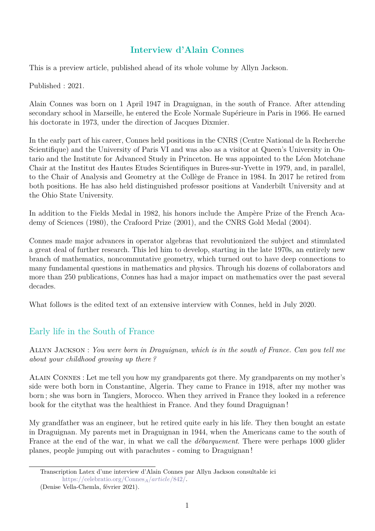## **Interview d'Alain Connes**

This is a preview article, published ahead of its whole volume by Allyn Jackson.

Published : 2021.

Alain Connes was born on 1 April 1947 in Draguignan, in the south of France. After attending secondary school in Marseille, he entered the Ecole Normale Supérieure in Paris in 1966. He earned his doctorate in 1973, under the direction of Jacques Dixmier.

In the early part of his career, Connes held positions in the CNRS (Centre National de la Recherche Scientifique) and the University of Paris VI and was also as a visitor at Queen's University in Ontario and the Institute for Advanced Study in Princeton. He was appointed to the Léon Motchane Chair at the Institut des Hautes Etudes Scientifiques in Bures-sur-Yvette in 1979, and, in parallel, to the Chair of Analysis and Geometry at the Collège de France in 1984. In 2017 he retired from both positions. He has also held distinguished professor positions at Vanderbilt University and at the Ohio State University.

In addition to the Fields Medal in 1982, his honors include the Ampère Prize of the French Academy of Sciences (1980), the Crafoord Prize (2001), and the CNRS Gold Medal (2004).

Connes made major advances in operator algebras that revolutionized the subject and stimulated a great deal of further research. This led him to develop, starting in the late 1970s, an entirely new branch of mathematics, noncommutative geometry, which turned out to have deep connections to many fundamental questions in mathematics and physics. Through his dozens of collaborators and more than 250 publications, Connes has had a major impact on mathematics over the past several decades.

What follows is the edited text of an extensive interview with Connes, held in July 2020.

# Early life in the South of France

Allyn Jackson : *You were born in Draguignan, which is in the south of France. Can you tell me about your childhood growing up there ?*

Alain Connes : Let me tell you how my grandparents got there. My grandparents on my mother's side were both born in Constantine, Algeria. They came to France in 1918, after my mother was born ; she was born in Tangiers, Morocco. When they arrived in France they looked in a reference book for the citythat was the healthiest in France. And they found Draguignan !

My grandfather was an engineer, but he retired quite early in his life. They then bought an estate in Draguignan. My parents met in Draguignan in 1944, when the Americans came to the south of France at the end of the war, in what we call the *débarquement*. There were perhaps 1000 glider planes, people jumping out with parachutes - coming to Draguignan !

Transcription Latex d'une interview d'Alain Connes par Allyn Jackson consultable ici [https://celebratio.org/Connes](https://celebratio.org/Connes_A/article/842/)*A/article/*842*/*.

<sup>(</sup>Denise Vella-Chemla, février 2021).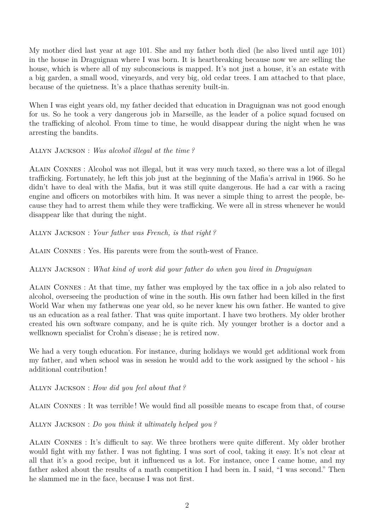My mother died last year at age 101. She and my father both died (he also lived until age 101) in the house in Draguignan where I was born. It is heartbreaking because now we are selling the house, which is where all of my subconscious is mapped. It's not just a house, it's an estate with a big garden, a small wood, vineyards, and very big, old cedar trees. I am attached to that place, because of the quietness. It's a place thathas serenity built-in.

When I was eight years old, my father decided that education in Draguignan was not good enough for us. So he took a very dangerous job in Marseille, as the leader of a police squad focused on the trafficking of alcohol. From time to time, he would disappear during the night when he was arresting the bandits.

Allyn Jackson : *Was alcohol illegal at the time ?*

Alain Connes : Alcohol was not illegal, but it was very much taxed, so there was a lot of illegal trafficking. Fortunately, he left this job just at the beginning of the Mafia's arrival in 1966. So he didn't have to deal with the Mafia, but it was still quite dangerous. He had a car with a racing engine and officers on motorbikes with him. It was never a simple thing to arrest the people, because they had to arrest them while they were trafficking. We were all in stress whenever he would disappear like that during the night.

Allyn Jackson : *Your father was French, is that right ?*

Alain Connes : Yes. His parents were from the south-west of France.

Allyn Jackson : *What kind of work did your father do when you lived in Draguignan*

Alain Connes : At that time, my father was employed by the tax office in a job also related to alcohol, overseeing the production of wine in the south. His own father had been killed in the first World War when my fatherwas one year old, so he never knew his own father. He wanted to give us an education as a real father. That was quite important. I have two brothers. My older brother created his own software company, and he is quite rich. My younger brother is a doctor and a wellknown specialist for Crohn's disease ; he is retired now.

We had a very tough education. For instance, during holidays we would get additional work from my father, and when school was in session he would add to the work assigned by the school - his additional contribution !

Allyn Jackson : *How did you feel about that ?*

Alain Connes : It was terrible ! We would find all possible means to escape from that, of course

Allyn Jackson : *Do you think it ultimately helped you ?*

Alain Connes : It's difficult to say. We three brothers were quite different. My older brother would fight with my father. I was not fighting. I was sort of cool, taking it easy. It's not clear at all that it's a good recipe, but it influenced us a lot. For instance, once I came home, and my father asked about the results of a math competition I had been in. I said, "I was second." Then he slammed me in the face, because I was not first.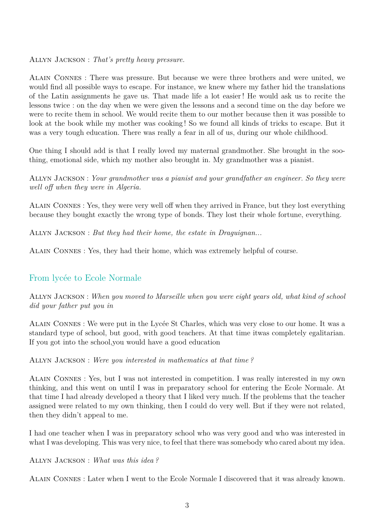Allyn Jackson : *That's pretty heavy pressure.*

Alain Connes : There was pressure. But because we were three brothers and were united, we would find all possible ways to escape. For instance, we knew where my father hid the translations of the Latin assignments he gave us. That made life a lot easier ! He would ask us to recite the lessons twice : on the day when we were given the lessons and a second time on the day before we were to recite them in school. We would recite them to our mother because then it was possible to look at the book while my mother was cooking ! So we found all kinds of tricks to escape. But it was a very tough education. There was really a fear in all of us, during our whole childhood.

One thing I should add is that I really loved my maternal grandmother. She brought in the soothing, emotional side, which my mother also brought in. My grandmother was a pianist.

Allyn Jackson : *Your grandmother was a pianist and your grandfather an engineer. So they were well off when they were in Algeria.*

Alain Connes : Yes, they were very well off when they arrived in France, but they lost everything because they bought exactly the wrong type of bonds. They lost their whole fortune, everything.

Allyn Jackson : *But they had their home, the estate in Draguignan...*

Alain Connes : Yes, they had their home, which was extremely helpful of course.

### From lycée to Ecole Normale

Allyn Jackson : *When you moved to Marseille when you were eight years old, what kind of school did your father put you in*

Alain Connes : We were put in the Lycée St Charles, which was very close to our home. It was a standard type of school, but good, with good teachers. At that time itwas completely egalitarian. If you got into the school,you would have a good education

Allyn Jackson : *Were you interested in mathematics at that time ?*

Alain Connes : Yes, but I was not interested in competition. I was really interested in my own thinking, and this went on until I was in preparatory school for entering the Ecole Normale. At that time I had already developed a theory that I liked very much. If the problems that the teacher assigned were related to my own thinking, then I could do very well. But if they were not related, then they didn't appeal to me.

I had one teacher when I was in preparatory school who was very good and who was interested in what I was developing. This was very nice, to feel that there was somebody who cared about my idea.

#### Allyn Jackson : *What was this idea ?*

Alain Connes : Later when I went to the Ecole Normale I discovered that it was already known.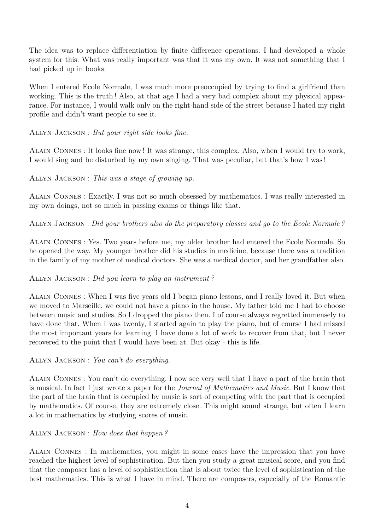The idea was to replace differentiation by finite difference operations. I had developed a whole system for this. What was really important was that it was my own. It was not something that I had picked up in books.

When I entered Ecole Normale, I was much more preoccupied by trying to find a girlfriend than working. This is the truth! Also, at that age I had a very bad complex about my physical appearance. For instance, I would walk only on the right-hand side of the street because I hated my right profile and didn't want people to see it.

Allyn Jackson : *But your right side looks fine.*

Alain Connes : It looks fine now ! It was strange, this complex. Also, when I would try to work, I would sing and be disturbed by my own singing. That was peculiar, but that's how I was !

Allyn Jackson : *This was a stage of growing up.*

Alain Connes : Exactly. I was not so much obsessed by mathematics. I was really interested in my own doings, not so much in passing exams or things like that.

Allyn Jackson : *Did your brothers also do the preparatory classes and go to the Ecole Normale ?*

Alain Connes : Yes. Two years before me, my older brother had entered the Ecole Normale. So he opened the way. My younger brother did his studies in medicine, because there was a tradition in the family of my mother of medical doctors. She was a medical doctor, and her grandfather also.

### Allyn Jackson : *Did you learn to play an instrument ?*

Alain Connes : When I was five years old I began piano lessons, and I really loved it. But when we moved to Marseille, we could not have a piano in the house. My father told me I had to choose between music and studies. So I dropped the piano then. I of course always regretted immensely to have done that. When I was twenty, I started again to play the piano, but of course I had missed the most important years for learning. I have done a lot of work to recover from that, but I never recovered to the point that I would have been at. But okay - this is life.

Allyn Jackson : *You can't do everything.*

Alain Connes : You can't do everything. I now see very well that I have a part of the brain that is musical. In fact I just wrote a paper for the *Journal of Mathematics and Music*. But I know that the part of the brain that is occupied by music is sort of competing with the part that is occupied by mathematics. Of course, they are extremely close. This might sound strange, but often I learn a lot in mathematics by studying scores of music.

### Allyn Jackson : *How does that happen ?*

Alain Connes : In mathematics, you might in some cases have the impression that you have reached the highest level of sophistication. But then you study a great musical score, and you find that the composer has a level of sophistication that is about twice the level of sophistication of the best mathematics. This is what I have in mind. There are composers, especially of the Romantic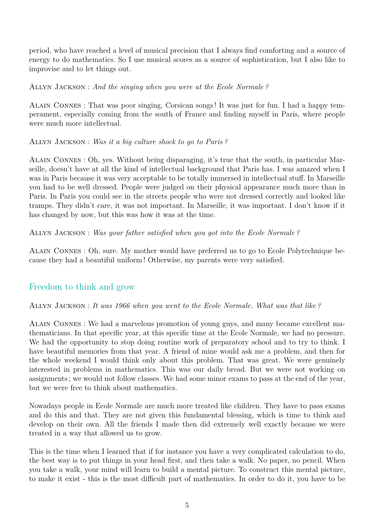period, who have reached a level of musical precision that I always find comforting and a source of energy to do mathematics. So I use musical scores as a source of sophistication, but I also like to improvise and to let things out.

Allyn Jackson : *And the singing when you were at the Ecole Normale ?*

Alain Connes : That was poor singing, Corsican songs ! It was just for fun. I had a happy temperament, especially coming from the south of France and finding myself in Paris, where people were much more intellectual.

Allyn Jackson : *Was it a big culture shock to go to Paris ?*

Alain Connes : Oh, yes. Without being disparaging, it's true that the south, in particular Marseille, doesn't have at all the kind of intellectual background that Paris has. I was amazed when I was in Paris because it was very acceptable to be totally immersed in intellectual stuff. In Marseille you had to be well dressed. People were judged on their physical appearance much more than in Paris. In Paris you could see in the streets people who were not dressed correctly and looked like tramps. They didn't care, it was not important. In Marseille, it was important. I don't know if it has changed by now, but this was how it was at the time.

Allyn Jackson : *Was your father satisfied when you got into the Ecole Normale ?*

Alain Connes : Oh, sure. My mother would have preferred us to go to Ecole Polytechnique because they had a beautiful uniform ! Otherwise, my parents were very satisfied.

### Freedom to think and grow

Allyn Jackson : *It was 1966 when you went to the Ecole Normale. What was that like ?*

Alain Connes : We had a marvelous promotion of young guys, and many became excellent mathematicians. In that specific year, at this specific time at the Ecole Normale, we had no pressure. We had the opportunity to stop doing routine work of preparatory school and to try to think. I have beautiful memories from that year. A friend of mine would ask me a problem, and then for the whole weekend I would think only about this problem. That was great. We were genuinely interested in problems in mathematics. This was our daily bread. But we were not working on assignments ; we would not follow classes. We had some minor exams to pass at the end of the year, but we were free to think about mathematics.

Nowadays people in Ecole Normale are much more treated like children. They have to pass exams and do this and that. They are not given this fundamental blessing, which is time to think and develop on their own. All the friends I made then did extremely well exactly because we were treated in a way that allowed us to grow.

This is the time when I learned that if for instance you have a very complicated calculation to do, the best way is to put things in your head first, and then take a walk. No paper, no pencil. When you take a walk, your mind will learn to build a mental picture. To construct this mental picture, to make it exist - this is the most difficult part of mathematics. In order to do it, you have to be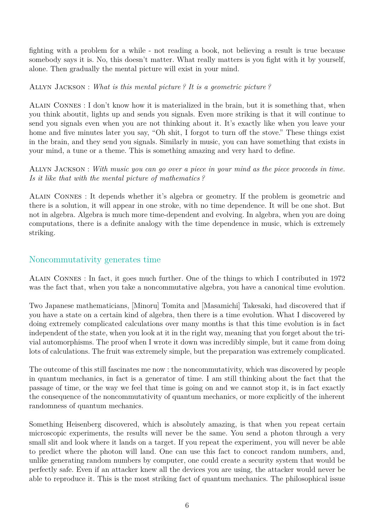fighting with a problem for a while - not reading a book, not believing a result is true because somebody says it is. No, this doesn't matter. What really matters is you fight with it by yourself, alone. Then gradually the mental picture will exist in your mind.

Allyn Jackson : *What is this mental picture ? It is a geometric picture ?*

Alain Connes : I don't know how it is materialized in the brain, but it is something that, when you think aboutit, lights up and sends you signals. Even more striking is that it will continue to send you signals even when you are not thinking about it. It's exactly like when you leave your home and five minutes later you say, "Oh shit, I forgot to turn off the stove." These things exist in the brain, and they send you signals. Similarly in music, you can have something that exists in your mind, a tune or a theme. This is something amazing and very hard to define.

Allyn Jackson : *With music you can go over a piece in your mind as the piece proceeds in time. Is it like that with the mental picture of mathematics ?*

Alain Connes : It depends whether it's algebra or geometry. If the problem is geometric and there is a solution, it will appear in one stroke, with no time dependence. It will be one shot. But not in algebra. Algebra is much more time-dependent and evolving. In algebra, when you are doing computations, there is a definite analogy with the time dependence in music, which is extremely striking.

### Noncommutativity generates time

Alain Connes : In fact, it goes much further. One of the things to which I contributed in 1972 was the fact that, when you take a noncommutative algebra, you have a canonical time evolution.

Two Japanese mathematicians, [Minoru] Tomita and [Masamichi] Takesaki, had discovered that if you have a state on a certain kind of algebra, then there is a time evolution. What I discovered by doing extremely complicated calculations over many months is that this time evolution is in fact independent of the state, when you look at it in the right way, meaning that you forget about the trivial automorphisms. The proof when I wrote it down was incredibly simple, but it came from doing lots of calculations. The fruit was extremely simple, but the preparation was extremely complicated.

The outcome of this still fascinates me now : the noncommutativity, which was discovered by people in quantum mechanics, in fact is a generator of time. I am still thinking about the fact that the passage of time, or the way we feel that time is going on and we cannot stop it, is in fact exactly the consequence of the noncommutativity of quantum mechanics, or more explicitly of the inherent randomness of quantum mechanics.

Something Heisenberg discovered, which is absolutely amazing, is that when you repeat certain microscopic experiments, the results will never be the same. You send a photon through a very small slit and look where it lands on a target. If you repeat the experiment, you will never be able to predict where the photon will land. One can use this fact to concoct random numbers, and, unlike generating random numbers by computer, one could create a security system that would be perfectly safe. Even if an attacker knew all the devices you are using, the attacker would never be able to reproduce it. This is the most striking fact of quantum mechanics. The philosophical issue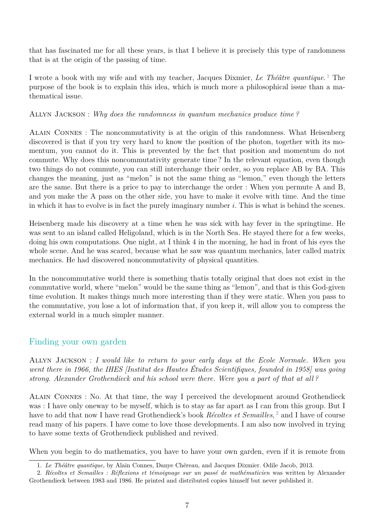that has fascinated me for all these years, is that I believe it is precisely this type of randomness that is at the origin of the passing of time.

I wrote a book with my wife and with my teacher, Jacques Dixmier, *Le Théâtre quantique*. [1](#page-6-0) The purpose of the book is to explain this idea, which is much more a philosophical issue than a mathematical issue.

#### Allyn Jackson : *Why does the randomness in quantum mechanics produce time ?*

Alain Connes : The noncommutativity is at the origin of this randomness. What Heisenberg discovered is that if you try very hard to know the position of the photon, together with its momentum, you cannot do it. This is prevented by the fact that position and momentum do not commute. Why does this noncommutativity generate time ? In the relevant equation, even though two things do not commute, you can still interchange their order, so you replace AB by BA. This changes the meaning, just as "melon" is not the same thing as "lemon," even though the letters are the same. But there is a price to pay to interchange the order : When you permute A and B, and you make the A pass on the other side, you have to make it evolve with time. And the time in which it has to evolve is in fact the purely imaginary number *i*. This is what is behind the scenes.

Heisenberg made his discovery at a time when he was sick with hay fever in the springtime. He was sent to an island called Heligoland, which is in the North Sea. He stayed there for a few weeks, doing his own computations. One night, at I think 4 in the morning, he had in front of his eyes the whole scene. And he was scared, because what he saw was quantum mechanics, later called matrix mechanics. He had discovered noncommutativity of physical quantities.

In the noncommutative world there is something thatis totally original that does not exist in the commutative world, where "melon" would be the same thing as "lemon", and that is this God-given time evolution. It makes things much more interesting than if they were static. When you pass to the commutative, you lose a lot of information that, if you keep it, will allow you to compress the external world in a much simpler manner.

### Finding your own garden

Allyn Jackson : *I would like to return to your early days at the Ecole Normale. When you went there in 1966, the IHES [Institut des Hautes Études Scientifiques, founded in 1958] was going strong. Alexander Grothendieck and his school were there. Were you a part of that at all ?*

Alain Connes : No. At that time, the way I perceived the development around Grothendieck was : I have only oneway to be myself, which is to stay as far apart as I can from this group. But I have to add that now I have read Grothendieck's book *Récoltes et Semailles*, [2](#page-6-1) and I have of course read many of his papers. I have come to love those developments. I am also now involved in trying to have some texts of Grothendieck published and revived.

When you begin to do mathematics, you have to have your own garden, even if it is remote from

<span id="page-6-1"></span><span id="page-6-0"></span><sup>1.</sup> *Le Théâtre quantique*, by Alain Connes, Danye Chéreau, and Jacques Dixmier. Odile Jacob, 2013.

<sup>2.</sup> *Récoltes et Semailles : Réflexions et témoignage sur un passé de mathématicien* was written by Alexander Grothendieck between 1983 and 1986. He printed and distributed copies himself but never published it.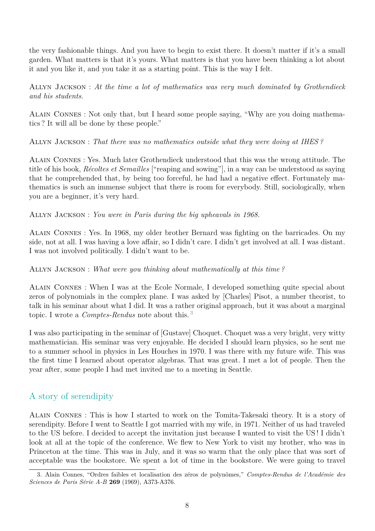the very fashionable things. And you have to begin to exist there. It doesn't matter if it's a small garden. What matters is that it's yours. What matters is that you have been thinking a lot about it and you like it, and you take it as a starting point. This is the way I felt.

Allyn Jackson : *At the time a lot of mathematics was very much dominated by Grothendieck and his students.*

Alain Connes : Not only that, but I heard some people saying, "Why are you doing mathematics ? It will all be done by these people."

Allyn Jackson : *That there was no mathematics outside what they were doing at IHES ?*

Alain Connes : Yes. Much later Grothendieck understood that this was the wrong attitude. The title of his book, *Récoltes et Semailles* ["reaping and sowing"], in a way can be understood as saying that he comprehended that, by being too forceful, he had had a negative effect. Fortunately mathematics is such an immense subject that there is room for everybody. Still, sociologically, when you are a beginner, it's very hard.

Allyn Jackson : *You were in Paris during the big upheavals in 1968.*

Alain Connes : Yes. In 1968, my older brother Bernard was fighting on the barricades. On my side, not at all. I was having a love affair, so I didn't care. I didn't get involved at all. I was distant. I was not involved politically. I didn't want to be.

Allyn Jackson : *What were you thinking about mathematically at this time ?*

Alain Connes : When I was at the Ecole Normale, I developed something quite special about zeros of polynomials in the complex plane. I was asked by [Charles] Pisot, a number theorist, to talk in his seminar about what I did. It was a rather original approach, but it was about a marginal topic. I wrote a *Comptes-Rendus* note about this. [3](#page-7-0)

I was also participating in the seminar of [Gustave] Choquet. Choquet was a very bright, very witty mathematician. His seminar was very enjoyable. He decided I should learn physics, so he sent me to a summer school in physics in Les Houches in 1970. I was there with my future wife. This was the first time I learned about operator algebras. That was great. I met a lot of people. Then the year after, some people I had met invited me to a meeting in Seattle.

### A story of serendipity

Alain Connes : This is how I started to work on the Tomita-Takesaki theory. It is a story of serendipity. Before I went to Seattle I got married with my wife, in 1971. Neither of us had traveled to the US before. I decided to accept the invitation just because I wanted to visit the US ! I didn't look at all at the topic of the conference. We flew to New York to visit my brother, who was in Princeton at the time. This was in July, and it was so warm that the only place that was sort of acceptable was the bookstore. We spent a lot of time in the bookstore. We were going to travel

<span id="page-7-0"></span><sup>3.</sup> Alain Connes, "Ordres faibles et localisation des zéros de polynômes," *Comptes-Rendus de l'Académie des Sciences de Paris Série A-B* **269** (1969), A373-A376.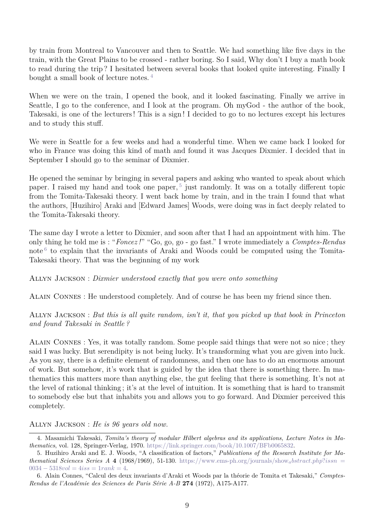by train from Montreal to Vancouver and then to Seattle. We had something like five days in the train, with the Great Plains to be crossed - rather boring. So I said, Why don't I buy a math book to read during the trip ? I hesitated between several books that looked quite interesting. Finally I bought a small book of lecture notes. [4](#page-8-0)

When we were on the train, I opened the book, and it looked fascinating. Finally we arrive in Seattle, I go to the conference, and I look at the program. Oh myGod - the author of the book, Takesaki, is one of the lecturers ! This is a sign ! I decided to go to no lectures except his lectures and to study this stuff.

We were in Seattle for a few weeks and had a wonderful time. When we came back I looked for who in France was doing this kind of math and found it was Jacques Dixmier. I decided that in September I should go to the seminar of Dixmier.

He opened the seminar by bringing in several papers and asking who wanted to speak about which paper. I raised my hand and took one paper,<sup>[5](#page-8-1)</sup> just randomly. It was on a totally different topic from the Tomita-Takesaki theory. I went back home by train, and in the train I found that what the authors, [Huzihiro] Araki and [Edward James] Woods, were doing was in fact deeply related to the Tomita-Takesaki theory.

The same day I wrote a letter to Dixmier, and soon after that I had an appointment with him. The only thing he told me is : "*Foncez !*" "Go, go, go - go fast." I wrote immediately a *Comptes-Rendus* note<sup>[6](#page-8-2)</sup> to explain that the invariants of Araki and Woods could be computed using the Tomita-Takesaki theory. That was the beginning of my work

Allyn Jackson : *Dixmier understood exactly that you were onto something*

Alain Connes : He understood completely. And of course he has been my friend since then.

Allyn Jackson : *But this is all quite random, isn't it, that you picked up that book in Princeton and found Takesaki in Seattle ?*

Alain Connes : Yes, it was totally random. Some people said things that were not so nice ; they said I was lucky. But serendipity is not being lucky. It's transforming what you are given into luck. As you say, there is a definite element of randomness, and then one has to do an enormous amount of work. But somehow, it's work that is guided by the idea that there is something there. In mathematics this matters more than anything else, the gut feeling that there is something. It's not at the level of rational thinking ; it's at the level of intuition. It is something that is hard to transmit to somebody else but that inhabits you and allows you to go forward. And Dixmier perceived this completely.

#### Allyn Jackson : *He is 96 years old now.*

<span id="page-8-0"></span><sup>4.</sup> Masamichi Takesaki, *Tomita's theory of modular Hilbert algebras and its applications, Lecture Notes in Mathematics*, vol. 128, Springer-Verlag, 1970. [https://link.springer.com/book/10.1007/BFb0065832.](https://link.springer.com/book/10.1007/BFb0065832)

<span id="page-8-1"></span><sup>5.</sup> Huzihiro Araki and E. J. Woods, "A classification of factors," *Publications of the Research Institute for Mathematical Sciences Series A* **4** (1968/1969), 51-130. [https://www.ems-ph.org/journals/show](https://www.ems-ph.org/journals/show_abstract.php?issn=0034-5318&vol=4&iss=1&rank=4)<sub>a</sub>*bstract.php*?*issn* =  $0034 - 5318vol = 4$ *iss* = 1*[rank](https://www.ems-ph.org/journals/show_abstract.php?issn=0034-5318&vol=4&iss=1&rank=4)* = 4.

<span id="page-8-2"></span><sup>6.</sup> Alain Connes, "Calcul des deux invariants d'Araki et Woods par la théorie de Tomita et Takesaki," *Comptes-Rendus de l'Académie des Sciences de Paris Série A-B* **274** (1972), A175-A177.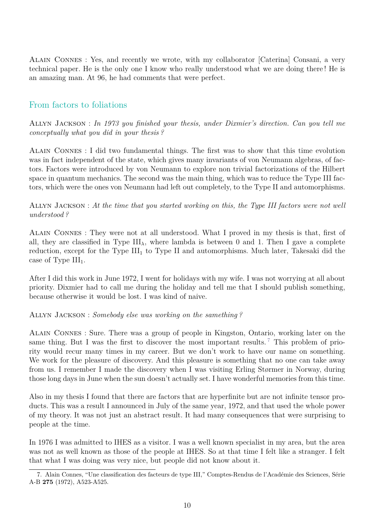Alain Connes : Yes, and recently we wrote, with my collaborator [Caterina] Consani, a very technical paper. He is the only one I know who really understood what we are doing there ! He is an amazing man. At 96, he had comments that were perfect.

### From factors to foliations

Allyn Jackson : *In 1973 you finished your thesis, under Dixmier's direction. Can you tell me conceptually what you did in your thesis ?*

Alain Connes : I did two fundamental things. The first was to show that this time evolution was in fact independent of the state, which gives many invariants of von Neumann algebras, of factors. Factors were introduced by von Neumann to explore non trivial factorizations of the Hilbert space in quantum mechanics. The second was the main thing, which was to reduce the Type III factors, which were the ones von Neumann had left out completely, to the Type II and automorphisms.

#### Allyn Jackson : *At the time that you started working on this, the Type III factors were not well understood ?*

Alain Connes : They were not at all understood. What I proved in my thesis is that, first of all, they are classified in Type  $III_{\lambda}$ , where lambda is between 0 and 1. Then I gave a complete reduction, except for the Type III<sub>1</sub> to Type II and automorphisms. Much later, Takesaki did the case of Type  $III_1$ .

After I did this work in June 1972, I went for holidays with my wife. I was not worrying at all about priority. Dixmier had to call me during the holiday and tell me that I should publish something, because otherwise it would be lost. I was kind of naive.

#### Allyn Jackson : *Somebody else was working on the samething ?*

Alain Connes : Sure. There was a group of people in Kingston, Ontario, working later on the same thing. But I was the first to discover the most important results.  $\frac{7}{7}$  $\frac{7}{7}$  $\frac{7}{7}$  This problem of priority would recur many times in my career. But we don't work to have our name on something. We work for the pleasure of discovery. And this pleasure is something that no one can take away from us. I remember I made the discovery when I was visiting Erling Størmer in Norway, during those long days in June when the sun doesn't actually set. I have wonderful memories from this time.

Also in my thesis I found that there are factors that are hyperfinite but are not infinite tensor products. This was a result I announced in July of the same year, 1972, and that used the whole power of my theory. It was not just an abstract result. It had many consequences that were surprising to people at the time.

In 1976 I was admitted to IHES as a visitor. I was a well known specialist in my area, but the area was not as well known as those of the people at IHES. So at that time I felt like a stranger. I felt that what I was doing was very nice, but people did not know about it.

<span id="page-9-0"></span><sup>7.</sup> Alain Connes, "Une classification des facteurs de type III," Comptes-Rendus de l'Académie des Sciences, Série A-B **275** (1972), A523-A525.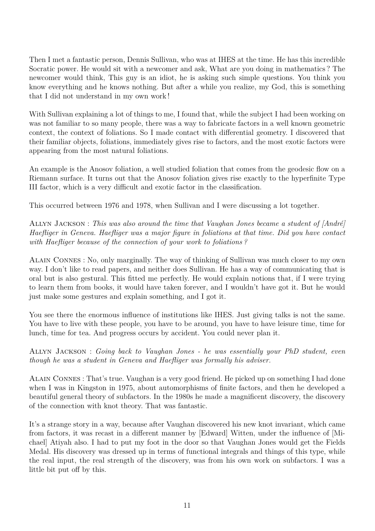Then I met a fantastic person, Dennis Sullivan, who was at IHES at the time. He has this incredible Socratic power. He would sit with a newcomer and ask, What are you doing in mathematics ? The newcomer would think, This guy is an idiot, he is asking such simple questions. You think you know everything and he knows nothing. But after a while you realize, my God, this is something that I did not understand in my own work !

With Sullivan explaining a lot of things to me, I found that, while the subject I had been working on was not familiar to so many people, there was a way to fabricate factors in a well known geometric context, the context of foliations. So I made contact with differential geometry. I discovered that their familiar objects, foliations, immediately gives rise to factors, and the most exotic factors were appearing from the most natural foliations.

An example is the Anosov foliation, a well studied foliation that comes from the geodesic flow on a Riemann surface. It turns out that the Anosov foliation gives rise exactly to the hyperfinite Type III factor, which is a very difficult and exotic factor in the classification.

This occurred between 1976 and 1978, when Sullivan and I were discussing a lot together.

Allyn Jackson : *This was also around the time that Vaughan Jones became a student of [André] Haefliger in Geneva. Haefliger was a major figure in foliations at that time. Did you have contact with Haefliger because of the connection of your work to foliations ?*

Alain Connes : No, only marginally. The way of thinking of Sullivan was much closer to my own way. I don't like to read papers, and neither does Sullivan. He has a way of communicating that is oral but is also gestural. This fitted me perfectly. He would explain notions that, if I were trying to learn them from books, it would have taken forever, and I wouldn't have got it. But he would just make some gestures and explain something, and I got it.

You see there the enormous influence of institutions like IHES. Just giving talks is not the same. You have to live with these people, you have to be around, you have to have leisure time, time for lunch, time for tea. And progress occurs by accident. You could never plan it.

Allyn Jackson : *Going back to Vaughan Jones - he was essentially your PhD student, even though he was a student in Geneva and Haefliger was formally his adviser.*

Alain Connes : That's true. Vaughan is a very good friend. He picked up on something I had done when I was in Kingston in 1975, about automorphisms of finite factors, and then he developed a beautiful general theory of subfactors. In the 1980s he made a magnificent discovery, the discovery of the connection with knot theory. That was fantastic.

It's a strange story in a way, because after Vaughan discovered his new knot invariant, which came from factors, it was recast in a different manner by [Edward] Witten, under the influence of [Michael] Atiyah also. I had to put my foot in the door so that Vaughan Jones would get the Fields Medal. His discovery was dressed up in terms of functional integrals and things of this type, while the real input, the real strength of the discovery, was from his own work on subfactors. I was a little bit put off by this.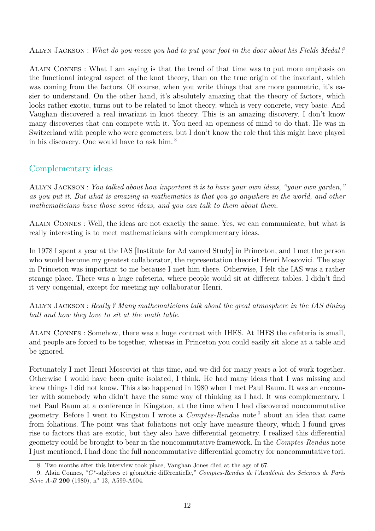#### Allyn Jackson : *What do you mean you had to put your foot in the door about his Fields Medal ?*

Alain Connes : What I am saying is that the trend of that time was to put more emphasis on the functional integral aspect of the knot theory, than on the true origin of the invariant, which was coming from the factors. Of course, when you write things that are more geometric, it's easier to understand. On the other hand, it's absolutely amazing that the theory of factors, which looks rather exotic, turns out to be related to knot theory, which is very concrete, very basic. And Vaughan discovered a real invariant in knot theory. This is an amazing discovery. I don't know many discoveries that can compete with it. You need an openness of mind to do that. He was in Switzerland with people who were geometers, but I don't know the role that this might have played in his discovery. One would have to ask him. [8](#page-11-0)

### Complementary ideas

Allyn Jackson : *You talked about how important it is to have your own ideas, "your own garden," as you put it. But what is amazing in mathematics is that you go anywhere in the world, and other mathematicians have those same ideas, and you can talk to them about them.*

Alain Connes : Well, the ideas are not exactly the same. Yes, we can communicate, but what is really interesting is to meet mathematicians with complementary ideas.

In 1978 I spent a year at the IAS [Institute for Ad vanced Study] in Princeton, and I met the person who would become my greatest collaborator, the representation theorist Henri Moscovici. The stay in Princeton was important to me because I met him there. Otherwise, I felt the IAS was a rather strange place. There was a huge cafeteria, where people would sit at different tables. I didn't find it very congenial, except for meeting my collaborator Henri.

Allyn Jackson : *Really ? Many mathematicians talk about the great atmosphere in the IAS dining hall and how they love to sit at the math table.*

Alain Connes : Somehow, there was a huge contrast with IHES. At IHES the cafeteria is small, and people are forced to be together, whereas in Princeton you could easily sit alone at a table and be ignored.

Fortunately I met Henri Moscovici at this time, and we did for many years a lot of work together. Otherwise I would have been quite isolated, I think. He had many ideas that I was missing and knew things I did not know. This also happened in 1980 when I met Paul Baum. It was an encounter with somebody who didn't have the same way of thinking as I had. It was complementary. I met Paul Baum at a conference in Kingston, at the time when I had discovered noncommutative geometry. Before I went to Kingston I wrote a *Comptes-Rendus* note [9](#page-11-1) about an idea that came from foliations. The point was that foliations not only have measure theory, which I found gives rise to factors that are exotic, but they also have differential geometry. I realized this differential geometry could be brought to bear in the noncommutative framework. In the *Comptes-Rendus* note I just mentioned, I had done the full noncommutative differential geometry for noncommutative tori.

<span id="page-11-1"></span><span id="page-11-0"></span><sup>8.</sup> Two months after this interview took place, Vaughan Jones died at the age of 67.

<sup>9.</sup> Alain Connes, "*C* ∗ -algèbres et géométrie différentielle," *Comptes-Rendus de l'Académie des Sciences de Paris Série A-B* **290** (1980), n<sup>o</sup> 13, A599-A604.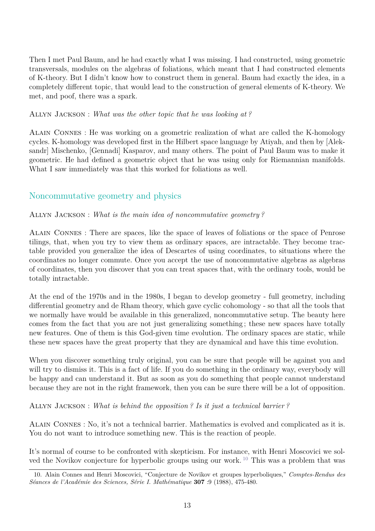Then I met Paul Baum, and he had exactly what I was missing. I had constructed, using geometric transversals, modules on the algebras of foliations, which meant that I had constructed elements of K-theory. But I didn't know how to construct them in general. Baum had exactly the idea, in a completely different topic, that would lead to the construction of general elements of K-theory. We met, and poof, there was a spark.

Allyn Jackson : *What was the other topic that he was looking at ?*

Alain Connes : He was working on a geometric realization of what are called the K-homology cycles. K-homology was developed first in the Hilbert space language by Atiyah, and then by [Aleksandr] Mischenko, [Gennadi] Kasparov, and many others. The point of Paul Baum was to make it geometric. He had defined a geometric object that he was using only for Riemannian manifolds. What I saw immediately was that this worked for foliations as well.

### Noncommutative geometry and physics

#### Allyn Jackson : *What is the main idea of noncommutative geometry ?*

Alain Connes : There are spaces, like the space of leaves of foliations or the space of Penrose tilings, that, when you try to view them as ordinary spaces, are intractable. They become tractable provided you generalize the idea of Descartes of using coordinates, to situations where the coordinates no longer commute. Once you accept the use of noncommutative algebras as algebras of coordinates, then you discover that you can treat spaces that, with the ordinary tools, would be totally intractable.

At the end of the 1970s and in the 1980s, I began to develop geometry - full geometry, including differential geometry and de Rham theory, which gave cyclic cohomology - so that all the tools that we normally have would be available in this generalized, noncommutative setup. The beauty here comes from the fact that you are not just generalizing something ; these new spaces have totally new features. One of them is this God-given time evolution. The ordinary spaces are static, while these new spaces have the great property that they are dynamical and have this time evolution.

When you discover something truly original, you can be sure that people will be against you and will try to dismiss it. This is a fact of life. If you do something in the ordinary way, everybody will be happy and can understand it. But as soon as you do something that people cannot understand because they are not in the right framework, then you can be sure there will be a lot of opposition.

Allyn Jackson : *What is behind the opposition ? Is it just a technical barrier ?*

Alain Connes : No, it's not a technical barrier. Mathematics is evolved and complicated as it is. You do not want to introduce something new. This is the reaction of people.

It's normal of course to be confronted with skepticism. For instance, with Henri Moscovici we sol-ved the Novikov conjecture for hyperbolic groups using our work.<sup>[10](#page-12-0)</sup> This was a problem that was

<span id="page-12-0"></span><sup>10.</sup> Alain Connes and Henri Moscovici, "Conjecture de Novikov et groupes hyperboliques," *Comptes-Rendus des Séances de l'Académie des Sciences, Série I. Mathématique* **307** :9 (1988), 475-480.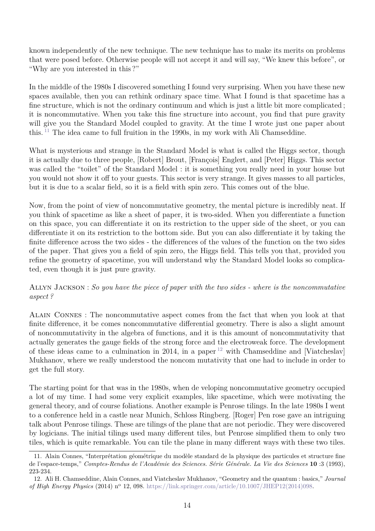known independently of the new technique. The new technique has to make its merits on problems that were posed before. Otherwise people will not accept it and will say, "We knew this before", or "Why are you interested in this ?"

In the middle of the 1980s I discovered something I found very surprising. When you have these new spaces available, then you can rethink ordinary space time. What I found is that spacetime has a fine structure, which is not the ordinary continuum and which is just a little bit more complicated ; it is noncommutative. When you take this fine structure into account, you find that pure gravity will give you the Standard Model coupled to gravity. At the time I wrote just one paper about this. [11](#page-13-0) The idea came to full fruition in the 1990s, in my work with Ali Chamseddine.

What is mysterious and strange in the Standard Model is what is called the Higgs sector, though it is actually due to three people, [Robert] Brout, [François] Englert, and [Peter] Higgs. This sector was called the "toilet" of the Standard Model : it is something you really need in your house but you would not show it off to your guests. This sector is very strange. It gives masses to all particles, but it is due to a scalar field, so it is a field with spin zero. This comes out of the blue.

Now, from the point of view of noncommutative geometry, the mental picture is incredibly neat. If you think of spacetime as like a sheet of paper, it is two-sided. When you differentiate a function on this space, you can differentiate it on its restriction to the upper side of the sheet, or you can differentiate it on its restriction to the bottom side. But you can also differentiate it by taking the finite difference across the two sides - the differences of the values of the function on the two sides of the paper. That gives you a field of spin zero, the Higgs field. This tells you that, provided you refine the geometry of spacetime, you will understand why the Standard Model looks so complicated, even though it is just pure gravity.

Allyn Jackson : *So you have the piece of paper with the two sides - where is the noncommutative aspect ?*

Alain Connes : The noncommutative aspect comes from the fact that when you look at that finite difference, it be comes noncommutative differential geometry. There is also a slight amount of noncommutativity in the algebra of functions, and it is this amount of noncommutativity that actually generates the gauge fields of the strong force and the electroweak force. The development of these ideas came to a culmination in 2014, in a paper  $^{12}$  $^{12}$  $^{12}$  with Chamseddine and [Viatcheslav] Mukhanov, where we really understood the noncom mutativity that one had to include in order to get the full story.

The starting point for that was in the 1980s, when de veloping noncommutative geometry occupied a lot of my time. I had some very explicit examples, like spacetime, which were motivating the general theory, and of course foliations. Another example is Penrose tilings. In the late 1980s I went to a conference held in a castle near Munich, Schloss Ringberg. [Roger] Pen rose gave an intriguing talk about Penrose tilings. These are tilings of the plane that are not periodic. They were discovered by logicians. The initial tilings used many different tiles, but Penrose simplified them to only two tiles, which is quite remarkable. You can tile the plane in many different ways with these two tiles.

<span id="page-13-0"></span><sup>11.</sup> Alain Connes, "Interprétation géométrique du modèle standard de la physique des particules et structure fine de l'espace-temps," *Comptes-Rendus de l'Académie des Sciences. Série Générale. La Vie des Sciences* **10** :3 (1993), 223-234.

<span id="page-13-1"></span><sup>12.</sup> Ali H. Chamseddine, Alain Connes, and Viatcheslav Mukhanov, "Geometry and the quantum : basics," *Journal of High Energy Physics* (2014) n<sup>o</sup> 12, 098. [https://link.springer.com/article/10.1007/JHEP12\(2014\)098.](https://link.springer.com/article/10.1007/JHEP12(2014)098)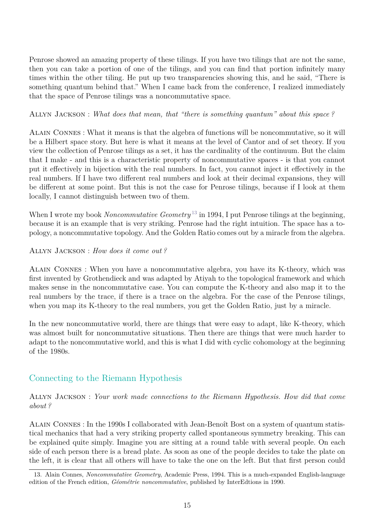Penrose showed an amazing property of these tilings. If you have two tilings that are not the same, then you can take a portion of one of the tilings, and you can find that portion infinitely many times within the other tiling. He put up two transparencies showing this, and he said, "There is something quantum behind that." When I came back from the conference, I realized immediately that the space of Penrose tilings was a noncommutative space.

Allyn Jackson : *What does that mean, that "there is something quantum" about this space ?*

Alain Connes : What it means is that the algebra of functions will be noncommutative, so it will be a Hilbert space story. But here is what it means at the level of Cantor and of set theory. If you view the collection of Penrose tilings as a set, it has the cardinality of the continuum. But the claim that I make - and this is a characteristic property of noncommutative spaces - is that you cannot put it effectively in bijection with the real numbers. In fact, you cannot inject it effectively in the real numbers. If I have two different real numbers and look at their decimal expansions, they will be different at some point. But this is not the case for Penrose tilings, because if I look at them locally, I cannot distinguish between two of them.

When I wrote my book *Noncommutative Geometry*<sup>[13](#page-14-0)</sup> in 1994, I put Penrose tilings at the beginning, because it is an example that is very striking. Penrose had the right intuition. The space has a topology, a noncommutative topology. And the Golden Ratio comes out by a miracle from the algebra.

#### Allyn Jackson : *How does it come out ?*

Alain Connes : When you have a noncommutative algebra, you have its K-theory, which was first invented by Grothendieck and was adapted by Atiyah to the topological framework and which makes sense in the noncommutative case. You can compute the K-theory and also map it to the real numbers by the trace, if there is a trace on the algebra. For the case of the Penrose tilings, when you map its K-theory to the real numbers, you get the Golden Ratio, just by a miracle.

In the new noncommutative world, there are things that were easy to adapt, like K-theory, which was almost built for noncommutative situations. Then there are things that were much harder to adapt to the noncommutative world, and this is what I did with cyclic cohomology at the beginning of the 1980s.

### Connecting to the Riemann Hypothesis

Allyn Jackson : *Your work made connections to the Riemann Hypothesis. How did that come about ?*

Alain Connes : In the 1990s I collaborated with Jean-Benoît Bost on a system of quantum statistical mechanics that had a very striking property called spontaneous symmetry breaking. This can be explained quite simply. Imagine you are sitting at a round table with several people. On each side of each person there is a bread plate. As soon as one of the people decides to take the plate on the left, it is clear that all others will have to take the one on the left. But that first person could

<span id="page-14-0"></span><sup>13.</sup> Alain Connes, *Noncommutative Geometry*, Academic Press, 1994. This is a much-expanded English-language edition of the French edition, *Géométrie noncommutative*, published by InterEdtions in 1990.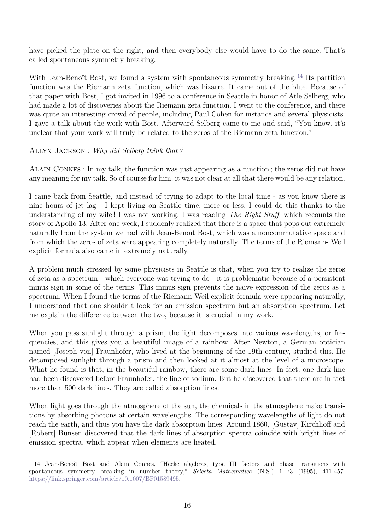have picked the plate on the right, and then everybody else would have to do the same. That's called spontaneous symmetry breaking.

With Jean-Benoît Bost, we found a system with spontaneous symmetry breaking.<sup>[14](#page-15-0)</sup> Its partition function was the Riemann zeta function, which was bizarre. It came out of the blue. Because of that paper with Bost, I got invited in 1996 to a conference in Seattle in honor of Atle Selberg, who had made a lot of discoveries about the Riemann zeta function. I went to the conference, and there was quite an interesting crowd of people, including Paul Cohen for instance and several physicists. I gave a talk about the work with Bost. Afterward Selberg came to me and said, "You know, it's unclear that your work will truly be related to the zeros of the Riemann zeta function."

#### Allyn Jackson : *Why did Selberg think that ?*

Alain Connes : In my talk, the function was just appearing as a function ; the zeros did not have any meaning for my talk. So of course for him, it was not clear at all that there would be any relation.

I came back from Seattle, and instead of trying to adapt to the local time - as you know there is nine hours of jet lag - I kept living on Seattle time, more or less. I could do this thanks to the understanding of my wife ! I was not working. I was reading *The Right Stuff*, which recounts the story of Apollo 13. After one week, I suddenly realized that there is a space that pops out extremely naturally from the system we had with Jean-Benoît Bost, which was a noncommutative space and from which the zeros of zeta were appearing completely naturally. The terms of the Riemann- Weil explicit formula also came in extremely naturally.

A problem much stressed by some physicists in Seattle is that, when you try to realize the zeros of zeta as a spectrum - which everyone was trying to do - it is problematic because of a persistent minus sign in some of the terms. This minus sign prevents the naive expression of the zeros as a spectrum. When I found the terms of the Riemann-Weil explicit formula were appearing naturally, I understood that one shouldn't look for an emission spectrum but an absorption spectrum. Let me explain the difference between the two, because it is crucial in my work.

When you pass sunlight through a prism, the light decomposes into various wavelengths, or frequencies, and this gives you a beautiful image of a rainbow. After Newton, a German optician named [Joseph von] Fraunhofer, who lived at the beginning of the 19th century, studied this. He decomposed sunlight through a prism and then looked at it almost at the level of a microscope. What he found is that, in the beautiful rainbow, there are some dark lines. In fact, one dark line had been discovered before Fraunhofer, the line of sodium. But he discovered that there are in fact more than 500 dark lines. They are called absorption lines.

When light goes through the atmosphere of the sun, the chemicals in the atmosphere make transitions by absorbing photons at certain wavelengths. The corresponding wavelengths of light do not reach the earth, and thus you have the dark absorption lines. Around 1860, [Gustav] Kirchhoff and [Robert] Bunsen discovered that the dark lines of absorption spectra coincide with bright lines of emission spectra, which appear when elements are heated.

<span id="page-15-0"></span><sup>14.</sup> Jean-Benoît Bost and Alain Connes, "Hecke algebras, type III factors and phase transitions with spontaneous symmetry breaking in number theory," *Selecta Mathematica* (N.S.) **1** :3 (1995), 411-457. [https://link.springer.com/article/10.1007/BF01589495.](https://link.springer.com/article/10.1007/BF01589495)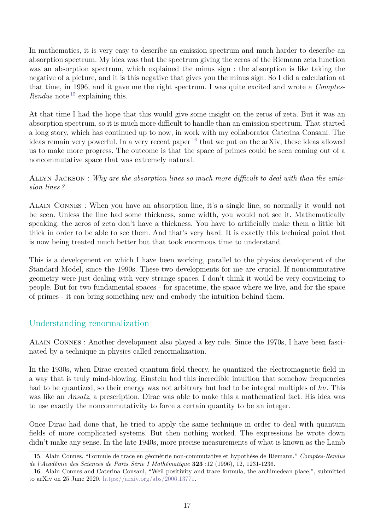In mathematics, it is very easy to describe an emission spectrum and much harder to describe an absorption spectrum. My idea was that the spectrum giving the zeros of the Riemann zeta function was an absorption spectrum, which explained the minus sign : the absorption is like taking the negative of a picture, and it is this negative that gives you the minus sign. So I did a calculation at that time, in 1996, and it gave me the right spectrum. I was quite excited and wrote a *Comptes-Rendus* note<sup>[15](#page-16-0)</sup> explaining this.

At that time I had the hope that this would give some insight on the zeros of zeta. But it was an absorption spectrum, so it is much more difficult to handle than an emission spectrum. That started a long story, which has continued up to now, in work with my collaborator Caterina Consani. The ideas remain very powerful. In a very recent paper  $^{16}$  $^{16}$  $^{16}$  that we put on the arXiv, these ideas allowed us to make more progress. The outcome is that the space of primes could be seen coming out of a noncommutative space that was extremely natural.

Allyn Jackson : *Why are the absorption lines so much more difficult to deal with than the emission lines ?*

Alain Connes : When you have an absorption line, it's a single line, so normally it would not be seen. Unless the line had some thickness, some width, you would not see it. Mathematically speaking, the zeros of zeta don't have a thickness. You have to artificially make them a little bit thick in order to be able to see them. And that's very hard. It is exactly this technical point that is now being treated much better but that took enormous time to understand.

This is a development on which I have been working, parallel to the physics development of the Standard Model, since the 1990s. These two developments for me are crucial. If noncommutative geometry were just dealing with very strange spaces, I don't think it would be very convincing to people. But for two fundamental spaces - for spacetime, the space where we live, and for the space of primes - it can bring something new and embody the intuition behind them.

### Understanding renormalization

Alain Connes : Another development also played a key role. Since the 1970s, I have been fascinated by a technique in physics called renormalization.

In the 1930s, when Dirac created quantum field theory, he quantized the electromagnetic field in a way that is truly mind-blowing. Einstein had this incredible intuition that somehow frequencies had to be quantized, so their energy was not arbitrary but had to be integral multiples of *hν*. This was like an *Ansatz*, a prescription. Dirac was able to make this a mathematical fact. His idea was to use exactly the noncommutativity to force a certain quantity to be an integer.

Once Dirac had done that, he tried to apply the same technique in order to deal with quantum fields of more complicated systems. But then nothing worked. The expressions he wrote down didn't make any sense. In the late 1940s, more precise measurements of what is known as the Lamb

<span id="page-16-0"></span><sup>15.</sup> Alain Connes, "Formule de trace en géométrie non-commutative et hypothèse de Riemann," *Comptes-Rendus de l'Académie des Sciences de Paris Série I Mathématique* **323** :12 (1996), 12, 1231-1236.

<span id="page-16-1"></span><sup>16.</sup> Alain Connes and Caterina Consani, "Weil positivity and trace formula, the archimedean place,", submitted to arXiv on 25 June 2020. [https://arxiv.org/abs/2006.13771.](https://arxiv.org/abs/2006.13771)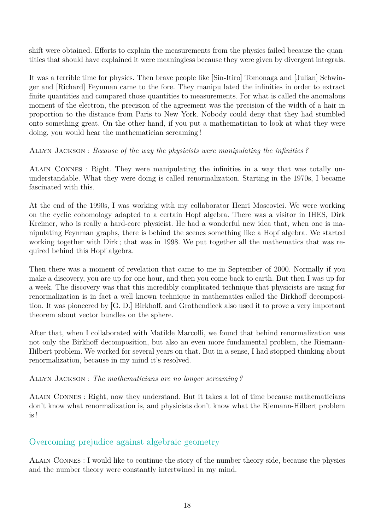shift were obtained. Efforts to explain the measurements from the physics failed because the quantities that should have explained it were meaningless because they were given by divergent integrals.

It was a terrible time for physics. Then brave people like [Sin-Itiro] Tomonaga and [Julian] Schwinger and [Richard] Feynman came to the fore. They manipu lated the infinities in order to extract finite quantities and compared those quantities to measurements. For what is called the anomalous moment of the electron, the precision of the agreement was the precision of the width of a hair in proportion to the distance from Paris to New York. Nobody could deny that they had stumbled onto something great. On the other hand, if you put a mathematician to look at what they were doing, you would hear the mathematician screaming !

Allyn Jackson : *Because of the way the physicists were manipulating the infinities ?*

Alain Connes : Right. They were manipulating the infinities in a way that was totally ununderstandable. What they were doing is called renormalization. Starting in the 1970s, I became fascinated with this.

At the end of the 1990s, I was working with my collaborator Henri Moscovici. We were working on the cyclic cohomology adapted to a certain Hopf algebra. There was a visitor in IHES, Dirk Kreimer, who is really a hard-core physicist. He had a wonderful new idea that, when one is manipulating Feynman graphs, there is behind the scenes something like a Hopf algebra. We started working together with Dirk ; that was in 1998. We put together all the mathematics that was required behind this Hopf algebra.

Then there was a moment of revelation that came to me in September of 2000. Normally if you make a discovery, you are up for one hour, and then you come back to earth. But then I was up for a week. The discovery was that this incredibly complicated technique that physicists are using for renormalization is in fact a well known technique in mathematics called the Birkhoff decomposition. It was pioneered by [G. D.] Birkhoff, and Grothendieck also used it to prove a very important theorem about vector bundles on the sphere.

After that, when I collaborated with Matilde Marcolli, we found that behind renormalization was not only the Birkhoff decomposition, but also an even more fundamental problem, the Riemann-Hilbert problem. We worked for several years on that. But in a sense, I had stopped thinking about renormalization, because in my mind it's resolved.

Allyn Jackson : *The mathematicians are no longer screaming ?*

Alain Connes : Right, now they understand. But it takes a lot of time because mathematicians don't know what renormalization is, and physicists don't know what the Riemann-Hilbert problem is !

### Overcoming prejudice against algebraic geometry

Alain Connes : I would like to continue the story of the number theory side, because the physics and the number theory were constantly intertwined in my mind.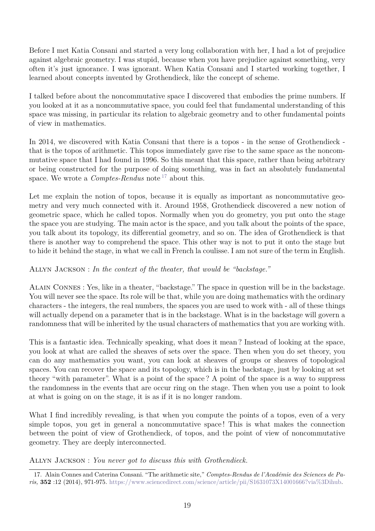Before I met Katia Consani and started a very long collaboration with her, I had a lot of prejudice against algebraic geometry. I was stupid, because when you have prejudice against something, very often it's just ignorance. I was ignorant. When Katia Consani and I started working together, I learned about concepts invented by Grothendieck, like the concept of scheme.

I talked before about the noncommutative space I discovered that embodies the prime numbers. If you looked at it as a noncommutative space, you could feel that fundamental understanding of this space was missing, in particular its relation to algebraic geometry and to other fundamental points of view in mathematics.

In 2014, we discovered with Katia Consani that there is a topos - in the sense of Grothendieck that is the topos of arithmetic. This topos immediately gave rise to the same space as the noncommutative space that I had found in 1996. So this meant that this space, rather than being arbitrary or being constructed for the purpose of doing something, was in fact an absolutely fundamental space. We wrote a *Comptes-Rendus* note<sup>[17](#page-18-0)</sup> about this.

Let me explain the notion of topos, because it is equally as important as noncommutative geometry and very much connected with it. Around 1958, Grothendieck discovered a new notion of geometric space, which he called topos. Normally when you do geometry, you put onto the stage the space you are studying. The main actor is the space, and you talk about the points of the space, you talk about its topology, its differential geometry, and so on. The idea of Grothendieck is that there is another way to comprehend the space. This other way is not to put it onto the stage but to hide it behind the stage, in what we call in French la coulisse. I am not sure of the term in English.

### Allyn Jackson : *In the context of the theater, that would be "backstage."*

Alain Connes : Yes, like in a theater, "backstage." The space in question will be in the backstage. You will never see the space. Its role will be that, while you are doing mathematics with the ordinary characters - the integers, the real numbers, the spaces you are used to work with - all of these things will actually depend on a parameter that is in the backstage. What is in the backstage will govern a randomness that will be inherited by the usual characters of mathematics that you are working with.

This is a fantastic idea. Technically speaking, what does it mean ? Instead of looking at the space, you look at what are called the sheaves of sets over the space. Then when you do set theory, you can do any mathematics you want, you can look at sheaves of groups or sheaves of topological spaces. You can recover the space and its topology, which is in the backstage, just by looking at set theory "with parameter". What is a point of the space ? A point of the space is a way to suppress the randomness in the events that are occur ring on the stage. Then when you use a point to look at what is going on on the stage, it is as if it is no longer random.

What I find incredibly revealing, is that when you compute the points of a topos, even of a very simple topos, you get in general a noncommutative space ! This is what makes the connection between the point of view of Grothendieck, of topos, and the point of view of noncommutative geometry. They are deeply interconnected.

Allyn Jackson : *You never got to discuss this with Grothendieck.*

<span id="page-18-0"></span><sup>17.</sup> Alain Connes and Caterina Consani. "The arithmetic site," *Comptes-Rendus de l'Académie des Sciences de Paris,* **352** :12 (2014), 971-975. [https://www.sciencedirect.com/science/article/pii/S1631073X14001666?via%3Dihub.](https://www.sciencedirect.com/science/article/pii/S1631073X14001666?via%3Dihub)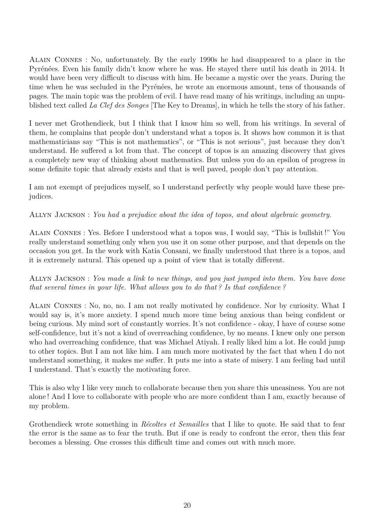Alain Connes : No, unfortunately. By the early 1990s he had disappeared to a place in the Pyrénées. Even his family didn't know where he was. He stayed there until his death in 2014. It would have been very difficult to discuss with him. He became a mystic over the years. During the time when he was secluded in the Pyrénées, he wrote an enormous amount, tens of thousands of pages. The main topic was the problem of evil. I have read many of his writings, including an unpublished text called *La Clef des Songes* [The Key to Dreams], in which he tells the story of his father.

I never met Grothendieck, but I think that I know him so well, from his writings. In several of them, he complains that people don't understand what a topos is. It shows how common it is that mathematicians say "This is not mathematics", or "This is not serious", just because they don't understand. He suffered a lot from that. The concept of topos is an amazing discovery that gives a completely new way of thinking about mathematics. But unless you do an epsilon of progress in some definite topic that already exists and that is well paved, people don't pay attention.

I am not exempt of prejudices myself, so I understand perfectly why people would have these prejudices.

Allyn Jackson : *You had a prejudice about the idea of topos, and about algebraic geometry.*

Alain Connes : Yes. Before I understood what a topos was, I would say, "This is bullshit !" You really understand something only when you use it on some other purpose, and that depends on the occasion you get. In the work with Katia Consani, we finally understood that there is a topos, and it is extremely natural. This opened up a point of view that is totally different.

Allyn Jackson : *You made a link to new things, and you just jumped into them. You have done that several times in your life. What allows you to do that ? Is that confidence ?*

Alain Connes : No, no, no. I am not really motivated by confidence. Nor by curiosity. What I would say is, it's more anxiety. I spend much more time being anxious than being confident or being curious. My mind sort of constantly worries. It's not confidence - okay, I have of course some self-confidence, but it's not a kind of overreaching confidence, by no means. I knew only one person who had overreaching confidence, that was Michael Atiyah. I really liked him a lot. He could jump to other topics. But I am not like him. I am much more motivated by the fact that when I do not understand something, it makes me suffer. It puts me into a state of misery. I am feeling bad until I understand. That's exactly the motivating force.

This is also why I like very much to collaborate because then you share this uneasiness. You are not alone ! And I love to collaborate with people who are more confident than I am, exactly because of my problem.

Grothendieck wrote something in *Récoltes et Semailles* that I like to quote. He said that to fear the error is the same as to fear the truth. But if one is ready to confront the error, then this fear becomes a blessing. One crosses this difficult time and comes out with much more.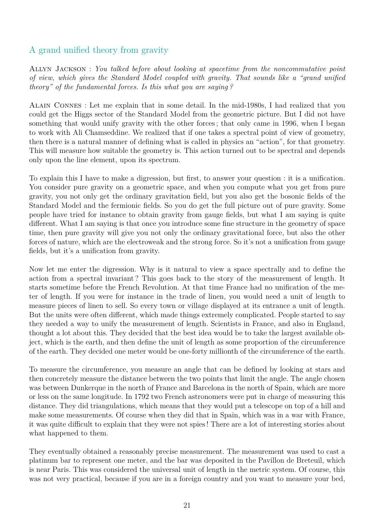# A grand unified theory from gravity

Allyn Jackson : *You talked before about looking at spacetime from the noncommutative point of view, which gives the Standard Model coupled with gravity. That sounds like a "grand unified theory" of the fundamental forces. Is this what you are saying ?*

Alain Connes : Let me explain that in some detail. In the mid-1980s, I had realized that you could get the Higgs sector of the Standard Model from the geometric picture. But I did not have something that would unify gravity with the other forces ; that only came in 1996, when I began to work with Ali Chamseddine. We realized that if one takes a spectral point of view of geometry, then there is a natural manner of defining what is called in physics an "action", for that geometry. This will measure how suitable the geometry is. This action turned out to be spectral and depends only upon the line element, upon its spectrum.

To explain this I have to make a digression, but first, to answer your question : it is a unification. You consider pure gravity on a geometric space, and when you compute what you get from pure gravity, you not only get the ordinary gravitation field, but you also get the bosonic fields of the Standard Model and the fermionic fields. So you do get the full picture out of pure gravity. Some people have tried for instance to obtain gravity from gauge fields, but what I am saying is quite different. What I am saying is that once you introduce some fine structure in the geometry of space time, then pure gravity will give you not only the ordinary gravitational force, but also the other forces of nature, which are the electroweak and the strong force. So it's not a unification from gauge fields, but it's a unification from gravity.

Now let me enter the digression. Why is it natural to view a space spectrally and to define the action from a spectral invariant ? This goes back to the story of the measurement of length. It starts sometime before the French Revolution. At that time France had no unification of the meter of length. If you were for instance in the trade of linen, you would need a unit of length to measure pieces of linen to sell. So every town or village displayed at its entrance a unit of length. But the units were often different, which made things extremely complicated. People started to say they needed a way to unify the measurement of length. Scientists in France, and also in England, thought a lot about this. They decided that the best idea would be to take the largest available object, which is the earth, and then define the unit of length as some proportion of the circumference of the earth. They decided one meter would be one-forty millionth of the circumference of the earth.

To measure the circumference, you measure an angle that can be defined by looking at stars and then concretely measure the distance between the two points that limit the angle. The angle chosen was between Dunkerque in the north of France and Barcelona in the north of Spain, which are more or less on the same longitude. In 1792 two French astronomers were put in charge of measuring this distance. They did triangulations, which means that they would put a telescope on top of a hill and make some measurements. Of course when they did that in Spain, which was in a war with France, it was quite difficult to explain that they were not spies ! There are a lot of interesting stories about what happened to them.

They eventually obtained a reasonably precise measurement. The measurement was used to cast a platinum bar to represent one meter, and the bar was deposited in the Pavillon de Breteuil, which is near Paris. This was considered the universal unit of length in the metric system. Of course, this was not very practical, because if you are in a foreign country and you want to measure your bed,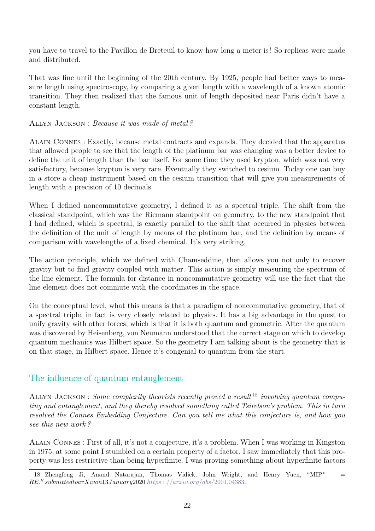you have to travel to the Pavillon de Breteuil to know how long a meter is ! So replicas were made and distributed.

That was fine until the beginning of the 20th century. By 1925, people had better ways to measure length using spectroscopy, by comparing a given length with a wavelength of a known atomic transition. They then realized that the famous unit of length deposited near Paris didn't have a constant length.

#### Allyn Jackson : *Because it was made of metal ?*

Alain Connes : Exactly, because metal contracts and expands. They decided that the apparatus that allowed people to see that the length of the platinum bar was changing was a better device to define the unit of length than the bar itself. For some time they used krypton, which was not very satisfactory, because krypton is very rare. Eventually they switched to cesium. Today one can buy in a store a cheap instrument based on the cesium transition that will give you measurements of length with a precision of 10 decimals.

When I defined noncommutative geometry, I defined it as a spectral triple. The shift from the classical standpoint, which was the Riemann standpoint on geometry, to the new standpoint that I had defined, which is spectral, is exactly parallel to the shift that occurred in physics between the definition of the unit of length by means of the platinum bar, and the definition by means of comparison with wavelengths of a fixed chemical. It's very striking.

The action principle, which we defined with Chamseddine, then allows you not only to recover gravity but to find gravity coupled with matter. This action is simply measuring the spectrum of the line element. The formula for distance in noncommutative geometry will use the fact that the line element does not commute with the coordinates in the space.

On the conceptual level, what this means is that a paradigm of noncommutative geometry, that of a spectral triple, in fact is very closely related to physics. It has a big advantage in the quest to unify gravity with other forces, which is that it is both quantum and geometric. After the quantum was discovered by Heisenberg, von Neumann understood that the correct stage on which to develop quantum mechanics was Hilbert space. So the geometry I am talking about is the geometry that is on that stage, in Hilbert space. Hence it's congenial to quantum from the start.

### The influence of quantum entanglement

ALLYN JACKSON : *Some complexity theorists recently proved a result* <sup>[18](#page-21-0)</sup> *involving quantum computing and entanglement, and they thereby resolved something called Tsirelson's problem. This in turn resolved the Connes Embedding Conjecture. Can you tell me what this conjecture is, and how you see this new work ?*

Alain Connes : First of all, it's not a conjecture, it's a problem. When I was working in Kingston in 1975, at some point I stumbled on a certain property of a factor. I saw immediately that this property was less restrictive than being hyperfinite. I was proving something about hyperfinite factors

<span id="page-21-0"></span><sup>18.</sup> Zhengfeng Ji, Anand Natarajan, Thomas Vidick, John Wright, and Henry Yuen, "MIP<sup>∗</sup> =  $R$ *RE*," submittedtoarXivon13*January*2020*.https* : [//arxiv.org/abs/](https://arxiv.org/abs/2001.04383)2001.04383.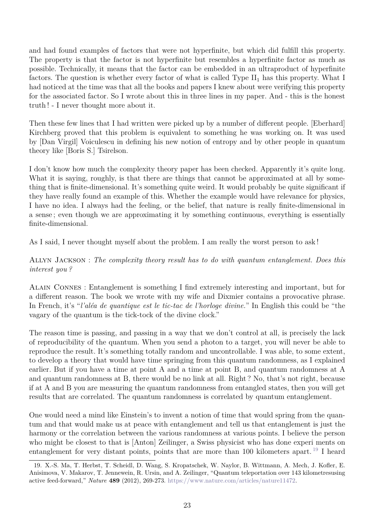and had found examples of factors that were not hyperfinite, but which did fulfill this property. The property is that the factor is not hyperfinite but resembles a hyperfinite factor as much as possible. Technically, it means that the factor can be embedded in an ultraproduct of hyperfinite factors. The question is whether every factor of what is called Type  $II_1$  has this property. What I had noticed at the time was that all the books and papers I knew about were verifying this property for the associated factor. So I wrote about this in three lines in my paper. And - this is the honest truth ! - I never thought more about it.

Then these few lines that I had written were picked up by a number of different people. [Eberhard] Kirchberg proved that this problem is equivalent to something he was working on. It was used by [Dan Virgil] Voiculescu in defining his new notion of entropy and by other people in quantum theory like [Boris S.] Tsirelson.

I don't know how much the complexity theory paper has been checked. Apparently it's quite long. What it is saying, roughly, is that there are things that cannot be approximated at all by something that is finite-dimensional. It's something quite weird. It would probably be quite significant if they have really found an example of this. Whether the example would have relevance for physics, I have no idea. I always had the feeling, or the belief, that nature is really finite-dimensional in a sense ; even though we are approximating it by something continuous, everything is essentially finite-dimensional.

As I said, I never thought myself about the problem. I am really the worst person to ask !

#### Allyn Jackson : *The complexity theory result has to do with quantum entanglement. Does this interest you ?*

Alain Connes : Entanglement is something I find extremely interesting and important, but for a different reason. The book we wrote with my wife and Dixmier contains a provocative phrase. In French, it's "*l'aléa de quantique est le tic-tac de l'horloge divine.*" In English this could be "the vagary of the quantum is the tick-tock of the divine clock."

The reason time is passing, and passing in a way that we don't control at all, is precisely the lack of reproducibility of the quantum. When you send a photon to a target, you will never be able to reproduce the result. It's something totally random and uncontrollable. I was able, to some extent, to develop a theory that would have time springing from this quantum randomness, as I explained earlier. But if you have a time at point A and a time at point B, and quantum randomness at A and quantum randomness at B, there would be no link at all. Right ? No, that's not right, because if at A and B you are measuring the quantum randomness from entangled states, then you will get results that are correlated. The quantum randomness is correlated by quantum entanglement.

One would need a mind like Einstein's to invent a notion of time that would spring from the quantum and that would make us at peace with entanglement and tell us that entanglement is just the harmony or the correlation between the various randomness at various points. I believe the person who might be closest to that is [Anton] Zeilinger, a Swiss physicist who has done experi ments on entanglement for very distant points, points that are more than 100 kilometers apart.<sup>[19](#page-22-0)</sup> I heard

<span id="page-22-0"></span><sup>19.</sup> X.-S. Ma, T. Herbst, T. Scheidl, D. Wang, S. Kropatschek, W. Naylor, B. Wittmann, A. Mech, J. Kofler, E. Anisimova, V. Makarov, T. Jennewein, R. Ursin, and A. Zeilinger, "Quantum teleportation over 143 kilometresusing active feed-forward," *Nature* **489** (2012), 269-273. [https://www.nature.com/articles/nature11472.](https://www.nature.com/articles/nature11472)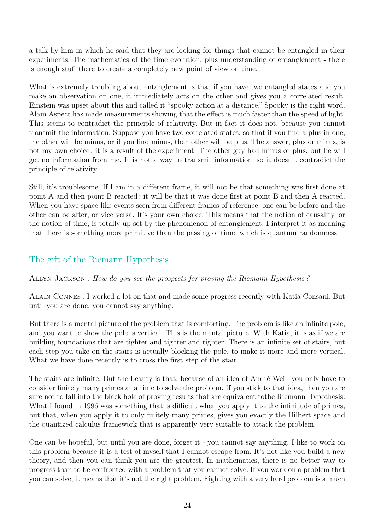a talk by him in which he said that they are looking for things that cannot be entangled in their experiments. The mathematics of the time evolution, plus understanding of entanglement - there is enough stuff there to create a completely new point of view on time.

What is extremely troubling about entanglement is that if you have two entangled states and you make an observation on one, it immediately acts on the other and gives you a correlated result. Einstein was upset about this and called it "spooky action at a distance." Spooky is the right word. Alain Aspect has made measurements showing that the effect is much faster than the speed of light. This seems to contradict the principle of relativity. But in fact it does not, because you cannot transmit the information. Suppose you have two correlated states, so that if you find a plus in one, the other will be minus, or if you find minus, then other will be plus. The answer, plus or minus, is not my own choice ; it is a result of the experiment. The other guy had minus or plus, but he will get no information from me. It is not a way to transmit information, so it doesn't contradict the principle of relativity.

Still, it's troublesome. If I am in a different frame, it will not be that something was first done at point A and then point B reacted ; it will be that it was done first at point B and then A reacted. When you have space-like events seen from different frames of reference, one can be before and the other can be after, or vice versa. It's your own choice. This means that the notion of causality, or the notion of time, is totally up set by the phenomenon of entanglement. I interpret it as meaning that there is something more primitive than the passing of time, which is quantum randomness.

# The gift of the Riemann Hypothesis

### Allyn Jackson : *How do you see the prospects for proving the Riemann Hypothesis ?*

Alain Connes : I worked a lot on that and made some progress recently with Katia Consani. But until you are done, you cannot say anything.

But there is a mental picture of the problem that is comforting. The problem is like an infinite pole, and you want to show the pole is vertical. This is the mental picture. With Katia, it is as if we are building foundations that are tighter and tighter and tighter. There is an infinite set of stairs, but each step you take on the stairs is actually blocking the pole, to make it more and more vertical. What we have done recently is to cross the first step of the stair.

The stairs are infinite. But the beauty is that, because of an idea of André Weil, you only have to consider finitely many primes at a time to solve the problem. If you stick to that idea, then you are sure not to fall into the black hole of proving results that are equivalent tothe Riemann Hypothesis. What I found in 1996 was something that is difficult when you apply it to the infinitude of primes, but that, when you apply it to only finitely many primes, gives you exactly the Hilbert space and the quantized calculus framework that is apparently very suitable to attack the problem.

One can be hopeful, but until you are done, forget it - you cannot say anything. I like to work on this problem because it is a test of myself that I cannot escape from. It's not like you build a new theory, and then you can think you are the greatest. In mathematics, there is no better way to progress than to be confronted with a problem that you cannot solve. If you work on a problem that you can solve, it means that it's not the right problem. Fighting with a very hard problem is a much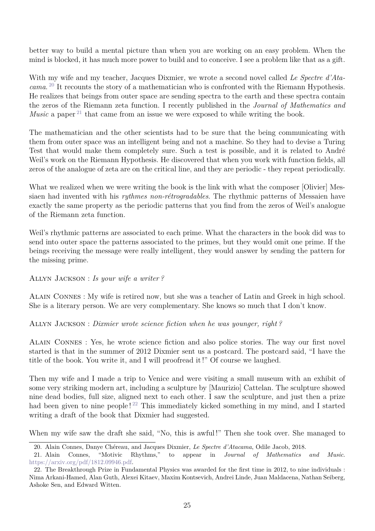better way to build a mental picture than when you are working on an easy problem. When the mind is blocked, it has much more power to build and to conceive. I see a problem like that as a gift.

With my wife and my teacher, Jacques Dixmier, we wrote a second novel called *Le Spectre d'Atacama*. [20](#page-24-0) It recounts the story of a mathematician who is confronted with the Riemann Hypothesis. He realizes that beings from outer space are sending spectra to the earth and these spectra contain the zeros of the Riemann zeta function. I recently published in the *Journal of Mathematics and Music* a paper<sup>[21](#page-24-1)</sup> that came from an issue we were exposed to while writing the book.

The mathematician and the other scientists had to be sure that the being communicating with them from outer space was an intelligent being and not a machine. So they had to devise a Turing Test that would make them completely sure. Such a test is possible, and it is related to André Weil's work on the Riemann Hypothesis. He discovered that when you work with function fields, all zeros of the analogue of zeta are on the critical line, and they are periodic - they repeat periodically.

What we realized when we were writing the book is the link with what the composer [Olivier] Messiaen had invented with his *rythmes non-rétrogradables*. The rhythmic patterns of Messaien have exactly the same property as the periodic patterns that you find from the zeros of Weil's analogue of the Riemann zeta function.

Weil's rhythmic patterns are associated to each prime. What the characters in the book did was to send into outer space the patterns associated to the primes, but they would omit one prime. If the beings receiving the message were really intelligent, they would answer by sending the pattern for the missing prime.

Allyn Jackson : *Is your wife a writer ?*

Alain Connes : My wife is retired now, but she was a teacher of Latin and Greek in high school. She is a literary person. We are very complementary. She knows so much that I don't know.

Allyn Jackson : *Dixmier wrote science fiction when he was younger, right ?*

Alain Connes : Yes, he wrote science fiction and also police stories. The way our first novel started is that in the summer of 2012 Dixmier sent us a postcard. The postcard said, "I have the title of the book. You write it, and I will proofread it !" Of course we laughed.

Then my wife and I made a trip to Venice and were visiting a small museum with an exhibit of some very striking modern art, including a sculpture by [Maurizio] Cattelan. The sculpture showed nine dead bodies, full size, aligned next to each other. I saw the sculpture, and just then a prize had been given to nine people!<sup>[22](#page-24-2)</sup> This immediately kicked something in my mind, and I started writing a draft of the book that Dixmier had suggested.

When my wife saw the draft she said, "No, this is awful !" Then she took over. She managed to

<span id="page-24-1"></span><span id="page-24-0"></span><sup>20.</sup> Alain Connes, Danye Chéreau, and Jacques Dixmier, *Le Spectre d'Atacama*, Odile Jacob, 2018.

<sup>21.</sup> Alain Connes, "Motivic Rhythms," to appear in *Journal of Mathematics and Music*. [https://arxiv.org/pdf/1812.09946.pdf.](https://arxiv.org/pdf/1812.09946.pdf)

<span id="page-24-2"></span><sup>22.</sup> The Breakthrough Prize in Fundamental Physics was awarded for the first time in 2012, to nine individuals : Nima Arkani-Hamed, Alan Guth, Alexei Kitaev, Maxim Kontsevich, Andrei Linde, Juan Maldacena, Nathan Seiberg, Ashoke Sen, and Edward Witten.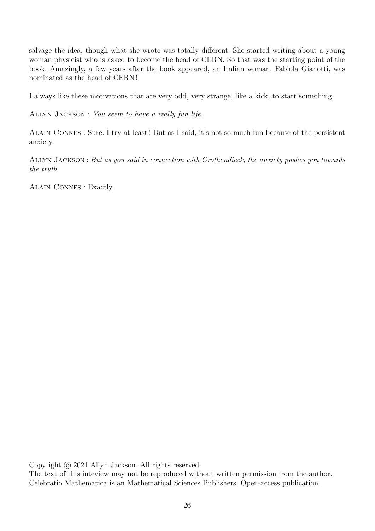salvage the idea, though what she wrote was totally different. She started writing about a young woman physicist who is asked to become the head of CERN. So that was the starting point of the book. Amazingly, a few years after the book appeared, an Italian woman, Fabiola Gianotti, was nominated as the head of CERN !

I always like these motivations that are very odd, very strange, like a kick, to start something.

Allyn Jackson : *You seem to have a really fun life.*

Alain Connes : Sure. I try at least ! But as I said, it's not so much fun because of the persistent anxiety.

Allyn Jackson : *But as you said in connection with Grothendieck, the anxiety pushes you towards the truth.*

Alain Connes : Exactly.

Copyright © 2021 Allyn Jackson. All rights reserved.

The text of this inteview may not be reproduced without written permission from the author. Celebratio Mathematica is an Mathematical Sciences Publishers. Open-access publication.